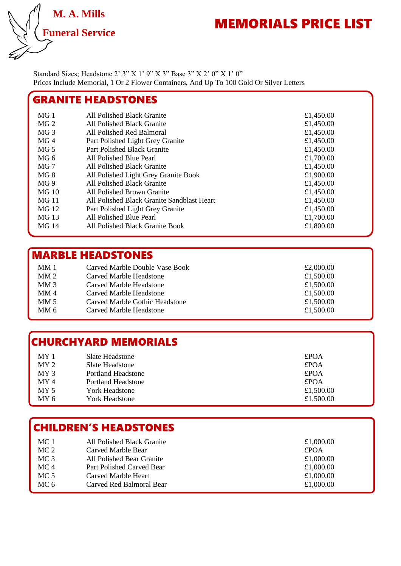

# MEMORIALS PRICE LIST

Standard Sizes; Headstone 2' 3" X 1' 9" X 3" Base 3" X 2' 0" X 1' 0" Prices Include Memorial, 1 Or 2 Flower Containers, And Up To 100 Gold Or Silver Letters

#### MG 1 All Polished Black Granite **Election** 1 All Polished Black Granite **Election** 1 All Polished Black Granite MG 2 All Polished Black Granite **E1,450.00** MG 3 All Polished Red Balmoral **E1,450.00** MG 4 Part Polished Light Grey Granite  $\text{\textsterling}1,450.00$ MG 5 Part Polished Black Granite **E1,450.00** MG 6 All Polished Blue Pearl 6 and 51,700.00<br>MG 7 All Polished Black Granite 6 and 51,450.00 All Polished Black Granite  $\text{\textsterling}1,450.00$ MG 8 All Polished Light Grey Granite Book £1,900.00 MG 9 All Polished Black Granite  $\text{£}1,450.00$ MG 10 All Polished Brown Granite **E1,450.00** MG 11 All Polished Black Granite Sandblast Heart £1,450.00 MG 12 Part Polished Light Grey Granite  $\text{f1,450.00}$ <br>MG 13 All Polished Blue Pearl  $\text{f1,700.00}$ All Polished Blue Pearl  $\text{\textsterling}1,700.00$ MG 14 All Polished Black Granite Book £1,800.00 GRANITE HEADSTONES

### MARBLE HEADSTONES

| MM1             | Carved Marble Double Vase Book | £2,000.00 |
|-----------------|--------------------------------|-----------|
| MM <sub>2</sub> | Carved Marble Headstone        | £1,500.00 |
| MM <sub>3</sub> | Carved Marble Headstone        | £1,500.00 |
| MM <sub>4</sub> | Carved Marble Headstone        | £1,500.00 |
| MM <sub>5</sub> | Carved Marble Gothic Headstone | £1,500.00 |
| MM <sub>6</sub> | Carved Marble Headstone        | £1,500.00 |

#### CHURCHYARD MEMORIALS

| MY <sub>1</sub> | Slate Headstone    | <b>£POA</b> |
|-----------------|--------------------|-------------|
| MY <sub>2</sub> | Slate Headstone    | <b>£POA</b> |
| MY <sub>3</sub> | Portland Headstone | <b>£POA</b> |
| MY <sub>4</sub> | Portland Headstone | <b>£POA</b> |
| MY <sub>5</sub> | York Headstone     | £1,500.00   |
| MY <sub>6</sub> | York Headstone     | £1.500.00   |

### CHILDREN'S HEADSTONES

| MC <sub>1</sub> | All Polished Black Granite | £1,000.00   |
|-----------------|----------------------------|-------------|
| MC <sub>2</sub> | Carved Marble Bear         | <b>£POA</b> |
| MC <sub>3</sub> | All Polished Bear Granite  | £1,000.00   |
| MC <sub>4</sub> | Part Polished Carved Bear  | £1,000.00   |
| MC <sub>5</sub> | Carved Marble Heart        | £1,000.00   |
| MC 6            | Carved Red Balmoral Bear   | £1,000.00   |